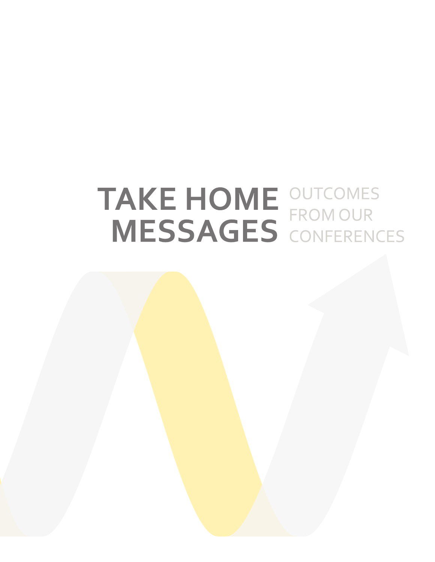# TAKE HOME OUTCOMES<br>MESSAGES CONFERENCES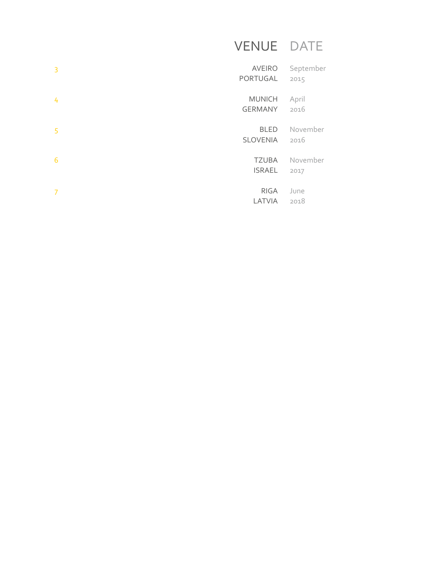# VENUE DATE

| $\overline{3}$ | <b>AVEIRO</b><br>PORTUGAL       | September<br>2015 |
|----------------|---------------------------------|-------------------|
| 4              | <b>MUNICH</b><br><b>GERMANY</b> | April<br>2016     |
| 5              | <b>BLED</b><br><b>SLOVENIA</b>  | November<br>2016  |
| 6              | <b>TZUBA</b><br><b>ISRAEL</b>   | November<br>2017  |
| 7              | <b>RIGA</b><br>LATVIA           | June<br>2018      |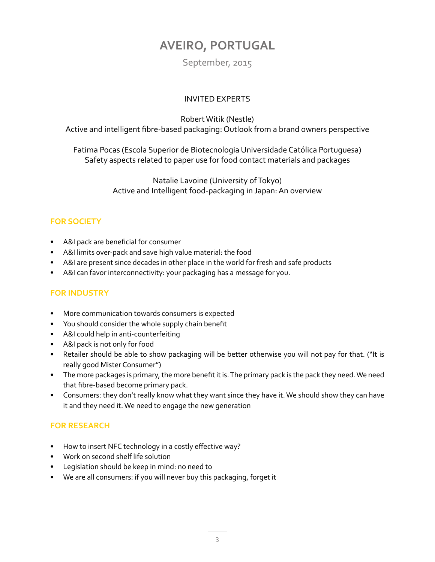## **AVEIRO, PORTUGAL**

#### September, 2015

#### INVITED EXPERTS

Robert Witik (Nestle)

<span id="page-2-0"></span>Active and intelligent fibre-based packaging: Outlook from a brand owners perspective

Fatima Pocas (Escola Superior de Biotecnologia Universidade Católica Portuguesa) Safety aspects related to paper use for food contact materials and packages

> Natalie Lavoine (University of Tokyo) Active and Intelligent food-packaging in Japan: An overview

#### **FOR SOCIETY**

- A&I pack are beneficial for consumer
- A&I limits over-pack and save high value material: the food
- A&I are present since decades in other place in the world for fresh and safe products
- A&I can favor interconnectivity: your packaging has a message for you.

#### **FOR INDUSTRY**

- More communication towards consumers is expected
- You should consider the whole supply chain benefit
- A&I could help in anti-counterfeiting
- A&I pack is not only for food
- Retailer should be able to show packaging will be better otherwise you will not pay for that. ("It is really good Mister Consumer")
- The more packages is primary, the more benefit it is. The primary pack is the pack they need. We need that fibre-based become primary pack.
- Consumers: they don't really know what they want since they have it. We should show they can have it and they need it. We need to engage the new generation

- How to insert NFC technology in a costly effective way?
- Work on second shelf life solution
- Legislation should be keep in mind: no need to
- We are all consumers: if you will never buy this packaging, forget it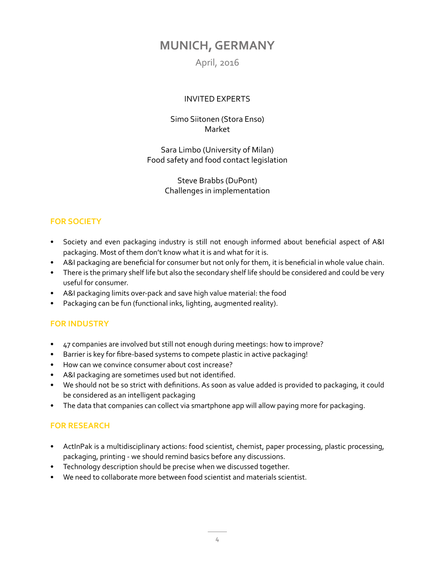## <span id="page-3-0"></span>**MUNICH, GERMANY**

April, 2016

#### INVITED EXPERTS

#### Simo Siitonen (Stora Enso) Market

Sara Limbo (University of Milan) Food safety and food contact legislation

> Steve Brabbs (DuPont) Challenges in implementation

#### **FOR SOCIETY**

- Society and even packaging industry is still not enough informed about beneficial aspect of A&I packaging. Most of them don't know what it is and what for it is.
- A&I packaging are beneficial for consumer but not only for them, it is beneficial in whole value chain.
- There is the primary shelf life but also the secondary shelf life should be considered and could be very useful for consumer.
- A&I packaging limits over-pack and save high value material: the food
- Packaging can be fun (functional inks, lighting, augmented reality).

#### **FOR INDUSTRY**

- 47 companies are involved but still not enough during meetings: how to improve?
- Barrier is key for fibre-based systems to compete plastic in active packaging!
- How can we convince consumer about cost increase?
- A&I packaging are sometimes used but not identified.
- We should not be so strict with definitions. As soon as value added is provided to packaging, it could be considered as an intelligent packaging
- The data that companies can collect via smartphone app will allow paying more for packaging.

- ActInPak is a multidisciplinary actions: food scientist, chemist, paper processing, plastic processing, packaging, printing - we should remind basics before any discussions.
- Technology description should be precise when we discussed together.
- We need to collaborate more between food scientist and materials scientist.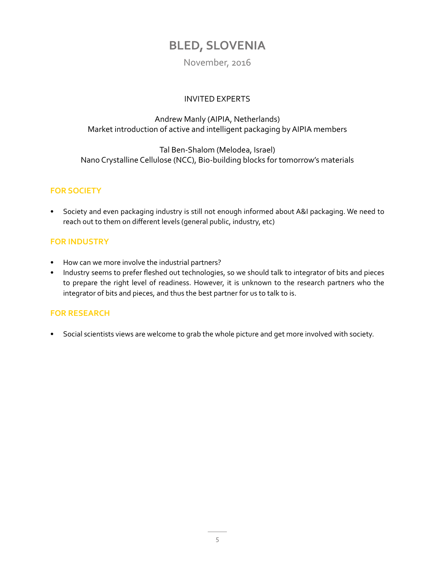## **BLED, SLOVENIA**

#### November, 2016

#### INVITED EXPERTS

#### <span id="page-4-0"></span>Andrew Manly (AIPIA, Netherlands) Market introduction of active and intelligent packaging by AIPIA members

#### Tal Ben-Shalom (Melodea, Israel) Nano Crystalline Cellulose (NCC), Bio-building blocks for tomorrow's materials

#### **FOR SOCIETY**

• Society and even packaging industry is still not enough informed about A&I packaging. We need to reach out to them on different levels (general public, industry, etc)

#### **FOR INDUSTRY**

- How can we more involve the industrial partners?
- Industry seems to prefer fleshed out technologies, so we should talk to integrator of bits and pieces to prepare the right level of readiness. However, it is unknown to the research partners who the integrator of bits and pieces, and thus the best partner for us to talk to is.

#### **FOR RESEARCH**

• Social scientists views are welcome to grab the whole picture and get more involved with society.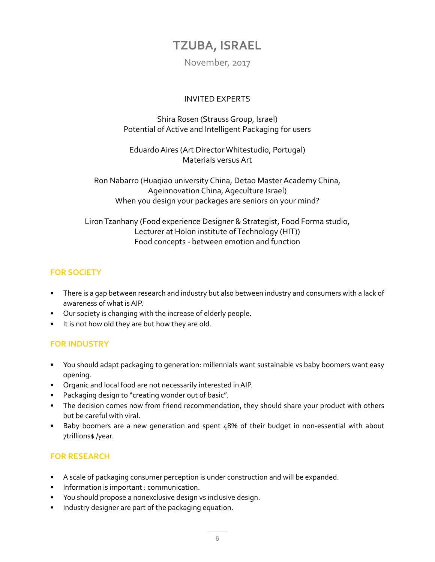## **TZUBA, ISRAEL**

November, 2017

#### INVITED EXPERTS

<span id="page-5-0"></span>Shira Rosen (Strauss Group, Israel) Potential of Active and Intelligent Packaging for users

Eduardo Aires (Art Director Whitestudio, Portugal) Materials versus Art

Ron Nabarro (Huaqiao university China, Detao Master Academy China, Ageinnovation China, Ageculture Israel) When you design your packages are seniors on your mind?

Liron Tzanhany (Food experience Designer & Strategist, Food Forma studio, Lecturer at Holon institute of Technology (HIT)) Food concepts - between emotion and function

#### **FOR SOCIETY**

- There is a gap between research and industry but also between industry and consumers with a lack of awareness of what is AIP.
- Our society is changing with the increase of elderly people.
- It is not how old they are but how they are old.

#### **FOR INDUSTRY**

- You should adapt packaging to generation: millennials want sustainable vs baby boomers want easy opening.
- Organic and local food are not necessarily interested in AIP.
- Packaging design to "creating wonder out of basic".
- The decision comes now from friend recommendation, they should share your product with others but be careful with viral.
- Baby boomers are a new generation and spent 48% of their budget in non-essential with about 7trillions\$ /year.

- A scale of packaging consumer perception is under construction and will be expanded.
- Information is important : communication.
- You should propose a nonexclusive design vs inclusive design.
- Industry designer are part of the packaging equation.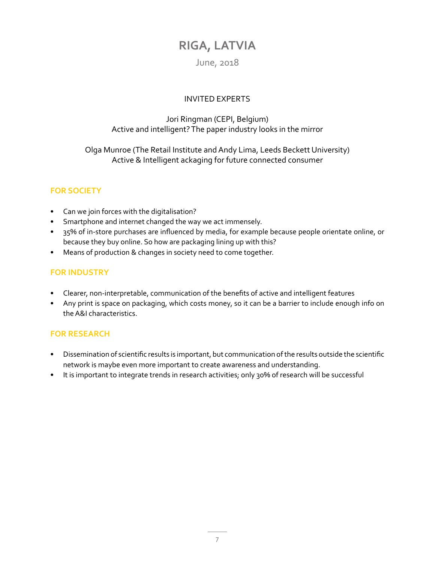## **RIGA, LATVIA**

#### June, 2018

#### INVITED EXPERTS

#### <span id="page-6-0"></span>Jori Ringman (CEPI, Belgium) Active and intelligent? The paper industry looks in the mirror

#### Olga Munroe (The Retail Institute and Andy Lima, Leeds Beckett University) Active & Intelligent ackaging for future connected consumer

#### **FOR SOCIETY**

- Can we join forces with the digitalisation?
- Smartphone and internet changed the way we act immensely.
- 35% of in-store purchases are influenced by media, for example because people orientate online, or because they buy online. So how are packaging lining up with this?
- Means of production & changes in society need to come together.

#### **FOR INDUSTRY**

- Clearer, non-interpretable, communication of the benefits of active and intelligent features
- Any print is space on packaging, which costs money, so it can be a barrier to include enough info on the A&I characteristics.

- Dissemination of scientific results is important, but communication of the results outside the scientific network is maybe even more important to create awareness and understanding.
- It is important to integrate trends in research activities; only 30% of research will be successful